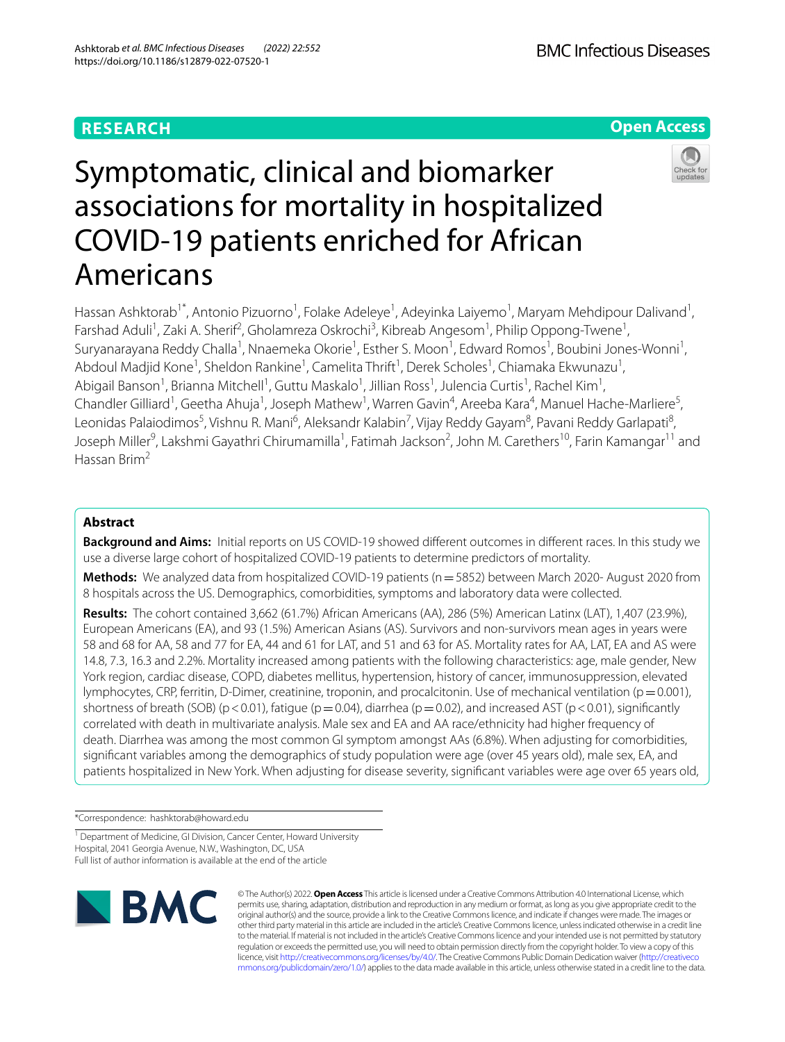# **RESEARCH**

Americans



# Symptomatic, clinical and biomarker associations for mortality in hospitalized COVID-19 patients enriched for African



Hassan Ashktorab<sup>1\*</sup>, Antonio Pizuorno<sup>1</sup>, Folake Adeleye<sup>1</sup>, Adeyinka Laiyemo<sup>1</sup>, Maryam Mehdipour Dalivand<sup>1</sup>, Farshad Aduli<sup>1</sup>, Zaki A. Sherif<sup>2</sup>, Gholamreza Oskrochi<sup>3</sup>, Kibreab Angesom<sup>1</sup>, Philip Oppong-Twene<sup>1</sup>, Suryanarayana Reddy Challa<sup>1</sup>, Nnaemeka Okorie<sup>1</sup>, Esther S. Moon<sup>1</sup>, Edward Romos<sup>1</sup>, Boubini Jones-Wonni<sup>1</sup>, Abdoul Madjid Kone<sup>1</sup>, Sheldon Rankine<sup>1</sup>, Camelita Thrift<sup>1</sup>, Derek Scholes<sup>1</sup>, Chiamaka Ekwunazu<sup>1</sup>, Abigail Banson<sup>1</sup>, Brianna Mitchell<sup>1</sup>, Guttu Maskalo<sup>1</sup>, Jillian Ross<sup>1</sup>, Julencia Curtis<sup>1</sup>, Rachel Kim<sup>1</sup>, Chandler Gilliard<sup>1</sup>, Geetha Ahuja<sup>1</sup>, Joseph Mathew<sup>1</sup>, Warren Gavin<sup>4</sup>, Areeba Kara<sup>4</sup>, Manuel Hache-Marliere<sup>5</sup>, Leonidas Palaiodimos<sup>5</sup>, Vishnu R. Mani<sup>6</sup>, Aleksandr Kalabin<sup>7</sup>, Vijay Reddy Gayam<sup>8</sup>, Pavani Reddy Garlapati<sup>8</sup>, Joseph Miller<sup>9</sup>, Lakshmi Gayathri Chirumamilla<sup>1</sup>, Fatimah Jackson<sup>2</sup>, John M. Carethers<sup>10</sup>, Farin Kamangar<sup>11</sup> and Hassan Brim2

# **Abstract**

**Background and Aims:** Initial reports on US COVID-19 showed diferent outcomes in diferent races. In this study we use a diverse large cohort of hospitalized COVID-19 patients to determine predictors of mortality.

**Methods:** We analyzed data from hospitalized COVID-19 patients (n = 5852) between March 2020- August 2020 from 8 hospitals across the US. Demographics, comorbidities, symptoms and laboratory data were collected.

**Results:** The cohort contained 3,662 (61.7%) African Americans (AA), 286 (5%) American Latinx (LAT), 1,407 (23.9%), European Americans (EA), and 93 (1.5%) American Asians (AS). Survivors and non-survivors mean ages in years were 58 and 68 for AA, 58 and 77 for EA, 44 and 61 for LAT, and 51 and 63 for AS. Mortality rates for AA, LAT, EA and AS were 14.8, 7.3, 16.3 and 2.2%. Mortality increased among patients with the following characteristics: age, male gender, New York region, cardiac disease, COPD, diabetes mellitus, hypertension, history of cancer, immunosuppression, elevated lymphocytes, CRP, ferritin, D-Dimer, creatinine, troponin, and procalcitonin. Use of mechanical ventilation ( $p=0.001$ ), shortness of breath (SOB) (p < 0.01), fatigue (p = 0.04), diarrhea (p = 0.02), and increased AST (p < 0.01), significantly correlated with death in multivariate analysis. Male sex and EA and AA race/ethnicity had higher frequency of death. Diarrhea was among the most common GI symptom amongst AAs (6.8%). When adjusting for comorbidities, signifcant variables among the demographics of study population were age (over 45 years old), male sex, EA, and patients hospitalized in New York. When adjusting for disease severity, signifcant variables were age over 65 years old,

\*Correspondence: hashktorab@howard.edu

<sup>1</sup> Department of Medicine, GI Division, Cancer Center, Howard University Hospital, 2041 Georgia Avenue, N.W., Washington, DC, USA Full list of author information is available at the end of the article



© The Author(s) 2022. **Open Access** This article is licensed under a Creative Commons Attribution 4.0 International License, which permits use, sharing, adaptation, distribution and reproduction in any medium or format, as long as you give appropriate credit to the original author(s) and the source, provide a link to the Creative Commons licence, and indicate if changes were made. The images or other third party material in this article are included in the article's Creative Commons licence, unless indicated otherwise in a credit line to the material. If material is not included in the article's Creative Commons licence and your intended use is not permitted by statutory regulation or exceeds the permitted use, you will need to obtain permission directly from the copyright holder. To view a copy of this licence, visit [http://creativecommons.org/licenses/by/4.0/.](http://creativecommons.org/licenses/by/4.0/) The Creative Commons Public Domain Dedication waiver ([http://creativeco](http://creativecommons.org/publicdomain/zero/1.0/) [mmons.org/publicdomain/zero/1.0/](http://creativecommons.org/publicdomain/zero/1.0/)) applies to the data made available in this article, unless otherwise stated in a credit line to the data.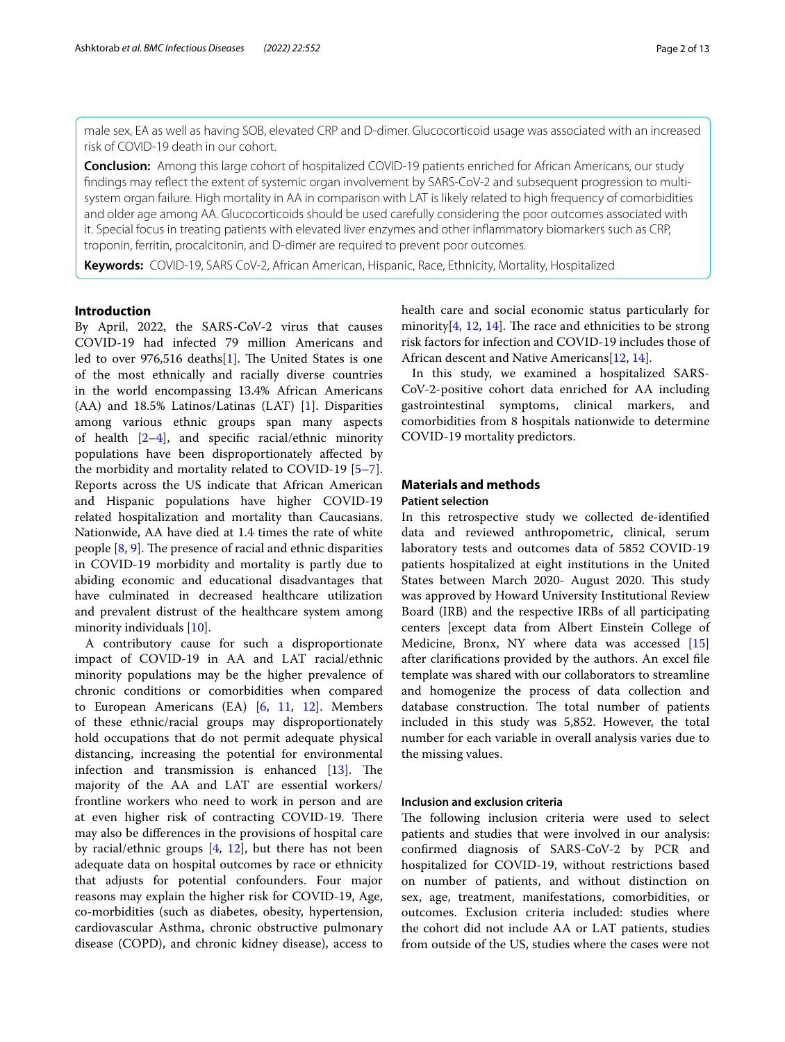male sex, EA as well as having SOB, elevated CRP and D-dimer. Glucocorticoid usage was associated with an increased risk of COVID-19 death in our cohort.

**Conclusion:** Among this large cohort of hospitalized COVID-19 patients enriched for African Americans, our study fndings may refect the extent of systemic organ involvement by SARS-CoV-2 and subsequent progression to multisystem organ failure. High mortality in AA in comparison with LAT is likely related to high frequency of comorbidities and older age among AA. Glucocorticoids should be used carefully considering the poor outcomes associated with it. Special focus in treating patients with elevated liver enzymes and other infammatory biomarkers such as CRP, troponin, ferritin, procalcitonin, and D-dimer are required to prevent poor outcomes.

**Keywords:** COVID-19, SARS CoV-2, African American, Hispanic, Race, Ethnicity, Mortality, Hospitalized

## **Introduction**

By April, 2022, the SARS-CoV-2 virus that causes COVID-19 had infected 79 million Americans and led to over 976,516 deaths $[1]$ . The United States is one of the most ethnically and racially diverse countries in the world encompassing 13.4% African Americans (AA) and 18.5% Latinos/Latinas (LAT) [\[1](#page-11-0)]. Disparities among various ethnic groups span many aspects of health  $[2-4]$  $[2-4]$ , and specific racial/ethnic minority populations have been disproportionately afected by the morbidity and mortality related to COVID-19 [\[5](#page-11-3)[–7](#page-11-4)]. Reports across the US indicate that African American and Hispanic populations have higher COVID-19 related hospitalization and mortality than Caucasians. Nationwide, AA have died at 1.4 times the rate of white people  $[8, 9]$  $[8, 9]$  $[8, 9]$ . The presence of racial and ethnic disparities in COVID-19 morbidity and mortality is partly due to abiding economic and educational disadvantages that have culminated in decreased healthcare utilization and prevalent distrust of the healthcare system among minority individuals [[10\]](#page-11-7).

A contributory cause for such a disproportionate impact of COVID-19 in AA and LAT racial/ethnic minority populations may be the higher prevalence of chronic conditions or comorbidities when compared to European Americans (EA) [\[6](#page-11-8), [11,](#page-11-9) [12\]](#page-11-10). Members of these ethnic/racial groups may disproportionately hold occupations that do not permit adequate physical distancing, increasing the potential for environmental infection and transmission is enhanced  $[13]$  $[13]$  $[13]$ . The majority of the AA and LAT are essential workers/ frontline workers who need to work in person and are at even higher risk of contracting COVID-19. There may also be diferences in the provisions of hospital care by racial/ethnic groups  $[4, 12]$  $[4, 12]$  $[4, 12]$  $[4, 12]$ , but there has not been adequate data on hospital outcomes by race or ethnicity that adjusts for potential confounders. Four major reasons may explain the higher risk for COVID-19, Age, co-morbidities (such as diabetes, obesity, hypertension, cardiovascular Asthma, chronic obstructive pulmonary disease (COPD), and chronic kidney disease), access to

health care and social economic status particularly for minority[ $4$ ,  $12$ ,  $14$ ]. The race and ethnicities to be strong risk factors for infection and COVID-19 includes those of African descent and Native Americans[\[12](#page-11-10), [14\]](#page-11-12).

In this study, we examined a hospitalized SARS-CoV-2-positive cohort data enriched for AA including gastrointestinal symptoms, clinical markers, and comorbidities from 8 hospitals nationwide to determine COVID-19 mortality predictors.

# **Materials and methods**

# **Patient selection**

In this retrospective study we collected de-identifed data and reviewed anthropometric, clinical, serum laboratory tests and outcomes data of 5852 COVID-19 patients hospitalized at eight institutions in the United States between March 2020- August 2020. This study was approved by Howard University Institutional Review Board (IRB) and the respective IRBs of all participating centers [except data from Albert Einstein College of Medicine, Bronx, NY where data was accessed [[15](#page-11-13)] after clarifcations provided by the authors. An excel fle template was shared with our collaborators to streamline and homogenize the process of data collection and database construction. The total number of patients included in this study was 5,852. However, the total number for each variable in overall analysis varies due to the missing values.

# **Inclusion and exclusion criteria**

The following inclusion criteria were used to select patients and studies that were involved in our analysis: confrmed diagnosis of SARS-CoV-2 by PCR and hospitalized for COVID-19, without restrictions based on number of patients, and without distinction on sex, age, treatment, manifestations, comorbidities, or outcomes. Exclusion criteria included: studies where the cohort did not include AA or LAT patients, studies from outside of the US, studies where the cases were not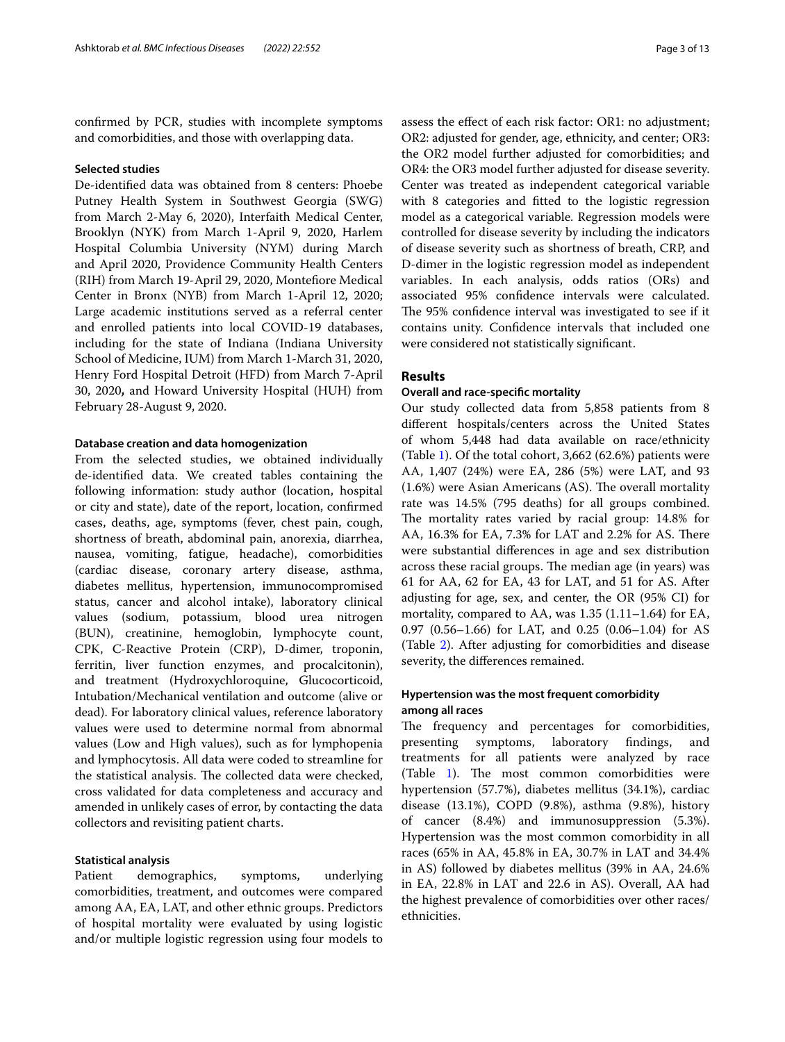confrmed by PCR, studies with incomplete symptoms and comorbidities, and those with overlapping data.

#### **Selected studies**

De-identifed data was obtained from 8 centers: Phoebe Putney Health System in Southwest Georgia (SWG) from March 2-May 6, 2020), Interfaith Medical Center, Brooklyn (NYK) from March 1-April 9, 2020, Harlem Hospital Columbia University (NYM) during March and April 2020, Providence Community Health Centers (RIH) from March 19-April 29, 2020, Montefore Medical Center in Bronx (NYB) from March 1-April 12, 2020; Large academic institutions served as a referral center and enrolled patients into local COVID-19 databases, including for the state of Indiana (Indiana University School of Medicine, IUM) from March 1-March 31, 2020, Henry Ford Hospital Detroit (HFD) from March 7-April 30, 2020**,** and Howard University Hospital (HUH) from February 28-August 9, 2020.

### **Database creation and data homogenization**

From the selected studies, we obtained individually de-identifed data. We created tables containing the following information: study author (location, hospital or city and state), date of the report, location, confrmed cases, deaths, age, symptoms (fever, chest pain, cough, shortness of breath, abdominal pain, anorexia, diarrhea, nausea, vomiting, fatigue, headache), comorbidities (cardiac disease, coronary artery disease, asthma, diabetes mellitus, hypertension, immunocompromised status, cancer and alcohol intake), laboratory clinical values (sodium, potassium, blood urea nitrogen (BUN), creatinine, hemoglobin, lymphocyte count, CPK, C-Reactive Protein (CRP), D-dimer, troponin, ferritin, liver function enzymes, and procalcitonin), and treatment (Hydroxychloroquine, Glucocorticoid, Intubation/Mechanical ventilation and outcome (alive or dead). For laboratory clinical values, reference laboratory values were used to determine normal from abnormal values (Low and High values), such as for lymphopenia and lymphocytosis. All data were coded to streamline for the statistical analysis. The collected data were checked, cross validated for data completeness and accuracy and amended in unlikely cases of error, by contacting the data collectors and revisiting patient charts.

## **Statistical analysis**

Patient demographics, symptoms, underlying comorbidities, treatment, and outcomes were compared among AA, EA, LAT, and other ethnic groups. Predictors of hospital mortality were evaluated by using logistic and/or multiple logistic regression using four models to assess the efect of each risk factor: OR1: no adjustment; OR2: adjusted for gender, age, ethnicity, and center; OR3: the OR2 model further adjusted for comorbidities; and OR4: the OR3 model further adjusted for disease severity. Center was treated as independent categorical variable with 8 categories and ftted to the logistic regression model as a categorical variable. Regression models were controlled for disease severity by including the indicators of disease severity such as shortness of breath, CRP, and D-dimer in the logistic regression model as independent variables. In each analysis, odds ratios (ORs) and associated 95% confdence intervals were calculated. The 95% confidence interval was investigated to see if it contains unity. Confdence intervals that included one were considered not statistically signifcant.

# **Results**

# **Overall and race‑specifc mortality**

Our study collected data from 5,858 patients from 8 diferent hospitals/centers across the United States of whom 5,448 had data available on race/ethnicity (Table [1\)](#page-3-0). Of the total cohort, 3,662 (62.6%) patients were AA, 1,407 (24%) were EA, 286 (5%) were LAT, and 93  $(1.6%)$  were Asian Americans  $(AS)$ . The overall mortality rate was 14.5% (795 deaths) for all groups combined. The mortality rates varied by racial group: 14.8% for AA, 16.3% for EA, 7.3% for LAT and 2.2% for AS. There were substantial diferences in age and sex distribution across these racial groups. The median age (in years) was 61 for AA, 62 for EA, 43 for LAT, and 51 for AS. After adjusting for age, sex, and center, the OR (95% CI) for mortality, compared to AA, was 1.35 (1.11–1.64) for EA, 0.97 (0.56–1.66) for LAT, and 0.25 (0.06–1.04) for AS (Table [2\)](#page-6-0). After adjusting for comorbidities and disease severity, the diferences remained.

# **Hypertension was the most frequent comorbidity among all races**

The frequency and percentages for comorbidities, presenting symptoms, laboratory fndings, and treatments for all patients were analyzed by race (Table [1](#page-3-0)). The most common comorbidities were hypertension (57.7%), diabetes mellitus (34.1%), cardiac disease (13.1%), COPD (9.8%), asthma (9.8%), history of cancer (8.4%) and immunosuppression (5.3%). Hypertension was the most common comorbidity in all races (65% in AA, 45.8% in EA, 30.7% in LAT and 34.4% in AS) followed by diabetes mellitus (39% in AA, 24.6% in EA, 22.8% in LAT and 22.6 in AS). Overall, AA had the highest prevalence of comorbidities over other races/ ethnicities.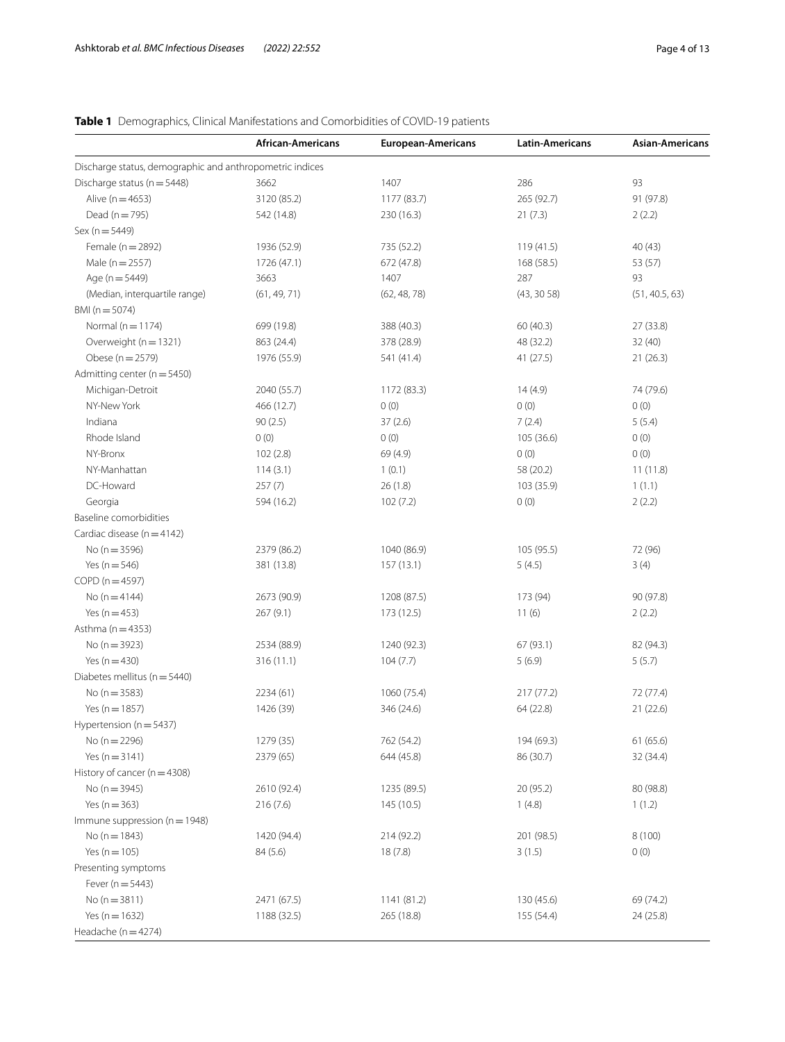# <span id="page-3-0"></span>**Table 1** Demographics, Clinical Manifestations and Comorbidities of COVID-19 patients

|                                                          | African-Americans | <b>European-Americans</b> | <b>Latin-Americans</b> | <b>Asian-Americans</b> |
|----------------------------------------------------------|-------------------|---------------------------|------------------------|------------------------|
| Discharge status, demographic and anthropometric indices |                   |                           |                        |                        |
| Discharge status ( $n = 5448$ )                          | 3662              | 1407                      | 286                    | 93                     |
| Alive ( $n = 4653$ )                                     | 3120 (85.2)       | 1177 (83.7)               | 265 (92.7)             | 91 (97.8)              |
| Dead ( $n = 795$ )                                       | 542 (14.8)        | 230 (16.3)                | 21(7.3)                | 2(2.2)                 |
| $Sex (n = 5449)$                                         |                   |                           |                        |                        |
| Female ( $n = 2892$ )                                    | 1936 (52.9)       | 735 (52.2)                | 119 (41.5)             | 40(43)                 |
| Male ( $n = 2557$ )                                      | 1726 (47.1)       | 672 (47.8)                | 168 (58.5)             | 53 (57)                |
| Age ( $n = 5449$ )                                       | 3663              | 1407                      | 287                    | 93                     |
| (Median, interquartile range)                            | (61, 49, 71)      | (62, 48, 78)              | (43, 3058)             | (51, 40.5, 63)         |
| BMI ( $n = 5074$ )                                       |                   |                           |                        |                        |
| Normal ( $n = 1174$ )                                    | 699 (19.8)        | 388 (40.3)                | 60 (40.3)              | 27 (33.8)              |
| Overweight (n = 1321)                                    | 863 (24.4)        | 378 (28.9)                | 48 (32.2)              | 32(40)                 |
| Obese (n = 2579)                                         | 1976 (55.9)       | 541 (41.4)                | 41(27.5)               | 21(26.3)               |
| Admitting center ( $n = 5450$ )                          |                   |                           |                        |                        |
| Michigan-Detroit                                         | 2040 (55.7)       | 1172 (83.3)               | 14(4.9)                | 74 (79.6)              |
| NY-New York                                              | 466 (12.7)        | 0(0)                      | 0(0)                   | 0(0)                   |
| Indiana                                                  | 90(2.5)           | 37(2.6)                   | 7(2.4)                 | 5(5.4)                 |
| Rhode Island                                             | 0(0)              | 0(0)                      | 105 (36.6)             | 0(0)                   |
| NY-Bronx                                                 | 102(2.8)          | 69 (4.9)                  | 0(0)                   | 0(0)                   |
| NY-Manhattan                                             | 114(3.1)          | 1(0.1)                    | 58 (20.2)              | 11(11.8)               |
| DC-Howard                                                | 257(7)            | 26(1.8)                   | 103 (35.9)             | 1(1.1)                 |
| Georgia                                                  | 594 (16.2)        | 102(7.2)                  | 0(0)                   | 2(2.2)                 |
| Baseline comorbidities                                   |                   |                           |                        |                        |
| Cardiac disease ( $n = 4142$ )                           |                   |                           |                        |                        |
| No ( $n = 3596$ )                                        | 2379 (86.2)       | 1040 (86.9)               | 105 (95.5)             | 72 (96)                |
| Yes ( $n = 546$ )                                        | 381 (13.8)        | 157(13.1)                 | 5(4.5)                 | 3(4)                   |
| $COPD(n=4597)$                                           |                   |                           |                        |                        |
| No $(n = 4144)$                                          | 2673 (90.9)       | 1208 (87.5)               | 173 (94)               | 90 (97.8)              |
| Yes ( $n = 453$ )                                        | 267(9.1)          | 173 (12.5)                | 11(6)                  | 2(2.2)                 |
| Asthma ( $n = 4353$ )                                    |                   |                           |                        |                        |
| No ( $n = 3923$ )                                        | 2534 (88.9)       | 1240 (92.3)               | 67 (93.1)              | 82 (94.3)              |
| Yes $(n = 430)$                                          | 316 (11.1)        | 104(7.7)                  | 5(6.9)                 | 5(5.7)                 |
| Diabetes mellitus (n = 5440)                             |                   |                           |                        |                        |
| No ( $n = 3583$ )                                        | 2234 (61)         | 1060 (75.4)               | 217(77.2)              | 72 (77.4)              |
| Yes ( $n = 1857$ )                                       | 1426 (39)         | 346 (24.6)                | 64 (22.8)              | 21(22.6)               |
| Hypertension (n = 5437)                                  |                   |                           |                        |                        |
| No ( $n = 2296$ )                                        | 1279 (35)         | 762 (54.2)                | 194 (69.3)             | 61 (65.6)              |
| Yes $(n = 3141)$                                         | 2379 (65)         | 644 (45.8)                | 86 (30.7)              | 32 (34.4)              |
| History of cancer ( $n = 4308$ )                         |                   |                           |                        |                        |
| No ( $n = 3945$ )                                        | 2610 (92.4)       | 1235 (89.5)               | 20 (95.2)              | 80 (98.8)              |
| Yes ( $n = 363$ )                                        | 216(7.6)          | 145 (10.5)                | 1(4.8)                 | 1(1.2)                 |
| Immune suppression ( $n = 1948$ )                        |                   |                           |                        |                        |
| No $(n = 1843)$                                          | 1420 (94.4)       | 214 (92.2)                | 201 (98.5)             | 8(100)                 |
| Yes ( $n = 105$ )                                        | 84 (5.6)          | 18(7.8)                   | 3(1.5)                 | 0(0)                   |
| Presenting symptoms                                      |                   |                           |                        |                        |
| Fever ( $n = 5443$ )                                     |                   |                           |                        |                        |
| No ( $n = 3811$ )                                        | 2471 (67.5)       | 1141 (81.2)               | 130 (45.6)             | 69 (74.2)              |
| Yes ( $n = 1632$ )                                       | 1188 (32.5)       | 265 (18.8)                | 155 (54.4)             | 24 (25.8)              |
| Headache (n = 4274)                                      |                   |                           |                        |                        |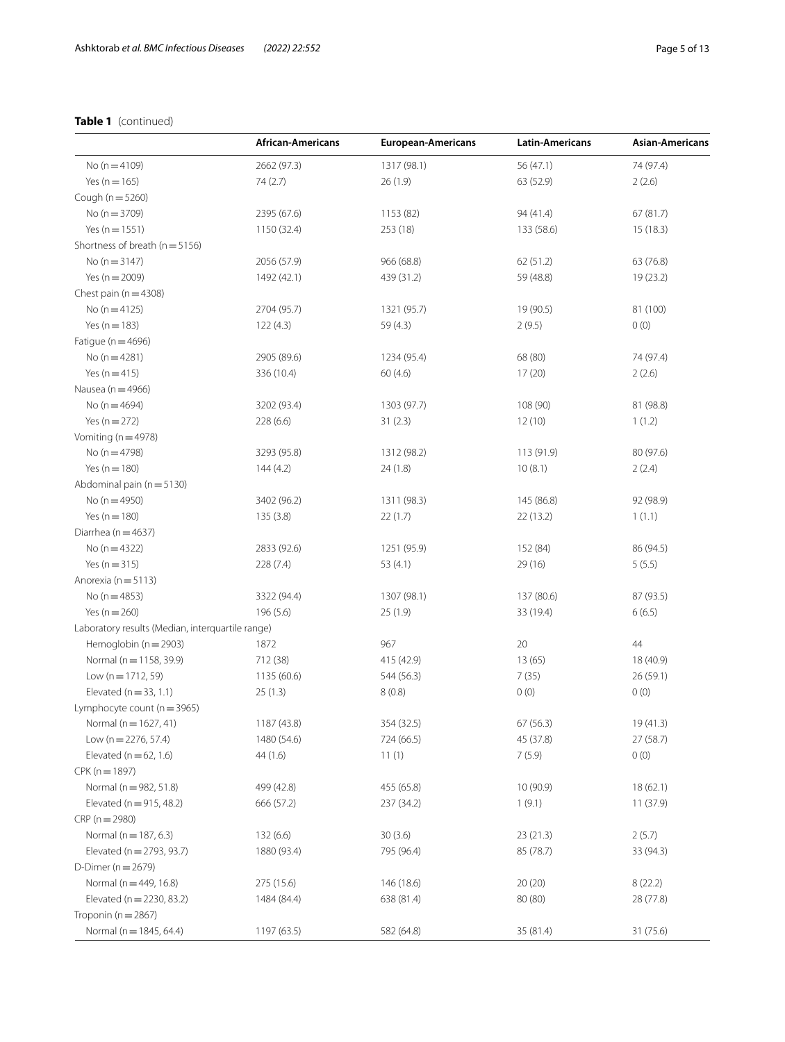# **Table 1** (continued)

|                                                  | <b>African-Americans</b> | <b>European-Americans</b> | <b>Latin-Americans</b> | Asian-Americans |
|--------------------------------------------------|--------------------------|---------------------------|------------------------|-----------------|
| No ( $n = 4109$ )                                | 2662 (97.3)              | 1317 (98.1)               | 56 (47.1)              | 74 (97.4)       |
| Yes ( $n = 165$ )                                | 74(2.7)                  | 26(1.9)                   | 63 (52.9)              | 2(2.6)          |
| Cough ( $n = 5260$ )                             |                          |                           |                        |                 |
| No ( $n = 3709$ )                                | 2395 (67.6)              | 1153 (82)                 | 94 (41.4)              | 67(81.7)        |
| Yes ( $n = 1551$ )                               | 1150 (32.4)              | 253 (18)                  | 133 (58.6)             | 15(18.3)        |
| Shortness of breath ( $n = 5156$ )               |                          |                           |                        |                 |
| No $(n = 3147)$                                  | 2056 (57.9)              | 966 (68.8)                | 62 (51.2)              | 63 (76.8)       |
| Yes ( $n = 2009$ )                               | 1492 (42.1)              | 439 (31.2)                | 59 (48.8)              | 19 (23.2)       |
| Chest pain ( $n = 4308$ )                        |                          |                           |                        |                 |
| No $(n=4125)$                                    | 2704 (95.7)              | 1321 (95.7)               | 19 (90.5)              | 81 (100)        |
| Yes ( $n = 183$ )                                | 122(4.3)                 | 59(4.3)                   | 2(9.5)                 | 0(0)            |
| Fatigue ( $n = 4696$ )                           |                          |                           |                        |                 |
| No $(n=4281)$                                    | 2905 (89.6)              | 1234 (95.4)               | 68 (80)                | 74 (97.4)       |
| Yes $(n = 415)$                                  | 336 (10.4)               | 60(4.6)                   | 17(20)                 | 2(2.6)          |
| Nausea ( $n = 4966$ )                            |                          |                           |                        |                 |
| No ( $n = 4694$ )                                | 3202 (93.4)              | 1303 (97.7)               | 108 (90)               | 81 (98.8)       |
| Yes $(n = 272)$                                  | 228(6.6)                 | 31(2.3)                   | 12(10)                 | 1(1.2)          |
| Vomiting ( $n = 4978$ )                          |                          |                           |                        |                 |
| No ( $n = 4798$ )                                | 3293 (95.8)              | 1312 (98.2)               | 113 (91.9)             | 80 (97.6)       |
| Yes ( $n = 180$ )                                | 144(4.2)                 | 24(1.8)                   | 10(8.1)                | 2(2.4)          |
| Abdominal pain (n = 5130)                        |                          |                           |                        |                 |
| No ( $n = 4950$ )                                | 3402 (96.2)              | 1311 (98.3)               | 145 (86.8)             | 92 (98.9)       |
| Yes ( $n = 180$ )                                | 135(3.8)                 | 22(1.7)                   | 22(13.2)               | 1(1.1)          |
| Diarrhea ( $n = 4637$ )                          |                          |                           |                        |                 |
| No ( $n = 4322$ )                                | 2833 (92.6)              | 1251 (95.9)               | 152 (84)               | 86 (94.5)       |
| Yes ( $n = 315$ )                                | 228 (7.4)                | 53 $(4.1)$                | 29(16)                 | 5(5.5)          |
| Anorexia ( $n = 5113$ )                          |                          |                           |                        |                 |
| No ( $n = 4853$ )                                | 3322 (94.4)              | 1307 (98.1)               | 137 (80.6)             | 87 (93.5)       |
| Yes ( $n = 260$ )                                | 196 (5.6)                | 25(1.9)                   | 33 (19.4)              | 6(6.5)          |
| Laboratory results (Median, interquartile range) |                          |                           |                        |                 |
| Hemoglobin ( $n = 2903$ )                        | 1872                     | 967                       | 20                     | 44              |
| Normal (n = 1158, 39.9)                          | 712 (38)                 | 415 (42.9)                | 13(65)                 | 18 (40.9)       |
| Low $(n = 1712, 59)$                             | 1135 (60.6)              | 544 (56.3)                | 7(35)                  | 26 (59.1)       |
| Elevated ( $n = 33, 1.1$ )                       | 25(1.3)                  | 8(0.8)                    | 0(0)                   | 0(0)            |
| Lymphocyte count ( $n = 3965$ )                  |                          |                           |                        |                 |
| Normal (n = 1627, 41)                            | 1187 (43.8)              | 354 (32.5)                | 67 (56.3)              | 19 (41.3)       |
| Low ( $n = 2276, 57.4$ )                         | 1480 (54.6)              | 724 (66.5)                | 45 (37.8)              | 27 (58.7)       |
| Elevated ( $n = 62, 1.6$ )                       | 44(1.6)                  | 11(1)                     | 7(5.9)                 | 0(0)            |
| $CPK(n = 1897)$                                  |                          |                           |                        |                 |
| Normal (n = 982, 51.8)                           |                          |                           |                        |                 |
| Elevated ( $n = 915, 48.2$ )                     | 499 (42.8)<br>666 (57.2) | 455 (65.8)<br>237 (34.2)  | 10 (90.9)              | 18(62.1)        |
|                                                  |                          |                           | 1(9.1)                 | 11(37.9)        |
| $CRP(n = 2980)$                                  |                          |                           |                        |                 |
| Normal ( $n = 187, 6.3$ )                        | 132 (6.6)                | 30(3.6)                   | 23 (21.3)              | 2(5.7)          |
| Elevated (n = 2793, 93.7)                        | 1880 (93.4)              | 795 (96.4)                | 85 (78.7)              | 33 (94.3)       |
| D-Dimer ( $n = 2679$ )                           |                          |                           |                        |                 |
| Normal (n = 449, 16.8)                           | 275 (15.6)               | 146 (18.6)                | 20(20)                 | 8(22.2)         |
| Elevated ( $n = 2230, 83.2$ )                    | 1484 (84.4)              | 638 (81.4)                | 80 (80)                | 28 (77.8)       |
| Troponin ( $n = 2867$ )                          |                          |                           |                        |                 |
| Normal (n = 1845, 64.4)                          | 1197 (63.5)              | 582 (64.8)                | 35 (81.4)              | 31 (75.6)       |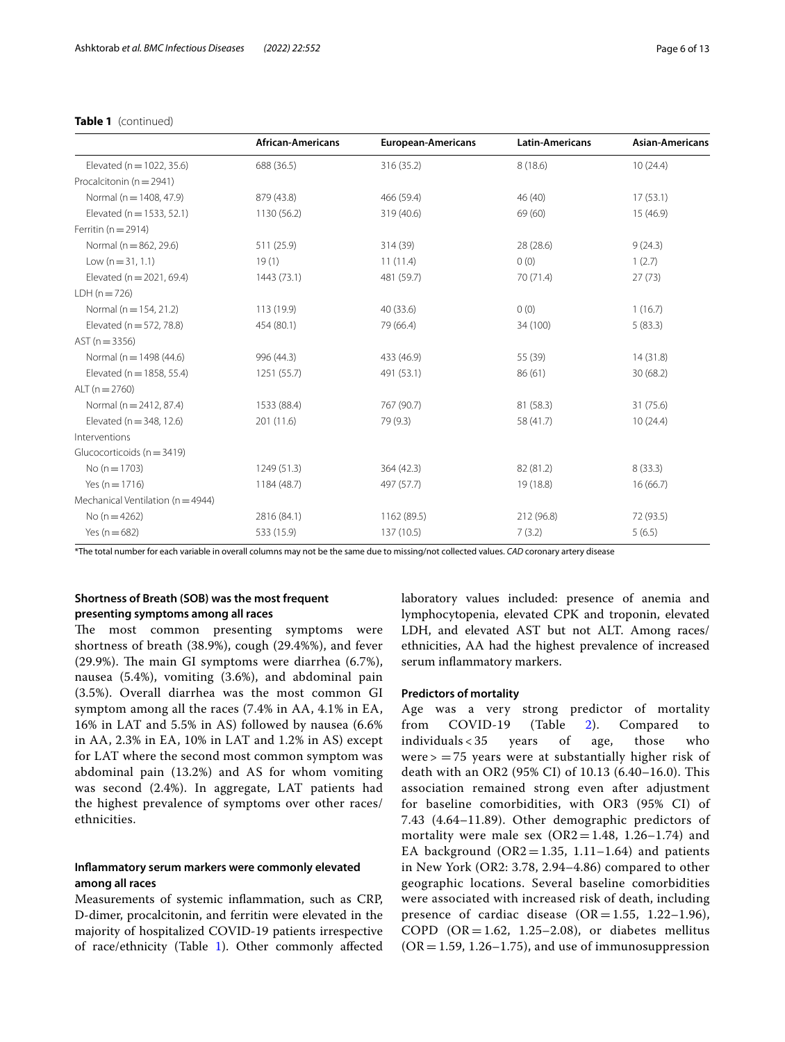# **Table 1** (continued)

|                                       | <b>African-Americans</b> | <b>European-Americans</b><br><b>Latin-Americans</b> |            | <b>Asian-Americans</b> |  |
|---------------------------------------|--------------------------|-----------------------------------------------------|------------|------------------------|--|
| Elevated ( $n = 1022, 35.6$ )         | 688 (36.5)               | 316 (35.2)                                          | 8(18.6)    | 10(24.4)               |  |
| Procalcitonin ( $n = 2941$ )          |                          |                                                     |            |                        |  |
| Normal (n = 1408, 47.9)               | 879 (43.8)               | 466 (59.4)                                          | 46 (40)    | 17(53.1)               |  |
| Elevated ( $n = 1533, 52.1$ )         | 1130 (56.2)              | 319 (40.6)                                          | 69 (60)    | 15 (46.9)              |  |
| Ferritin ( $n = 2914$ )               |                          |                                                     |            |                        |  |
| Normal (n = 862, 29.6)                | 511 (25.9)               | 314 (39)                                            | 28 (28.6)  | 9(24.3)                |  |
| Low $(n = 31, 1.1)$                   | 19(1)                    | 11(11.4)                                            | 0(0)       | 1(2.7)                 |  |
| Elevated ( $n = 2021, 69.4$ )         | 1443 (73.1)              | 481 (59.7)                                          | 70 (71.4)  | 27(73)                 |  |
| $LDH (n = 726)$                       |                          |                                                     |            |                        |  |
| Normal ( $n = 154, 21.2$ )            | 113 (19.9)               | 40 (33.6)                                           | 0(0)       | 1(16.7)                |  |
| Elevated ( $n = 572, 78.8$ )          | 454 (80.1)               | 79 (66.4)                                           | 34 (100)   | 5(83.3)                |  |
| $AST (n = 3356)$                      |                          |                                                     |            |                        |  |
| Normal ( $n = 1498$ (44.6)            | 996 (44.3)               | 433 (46.9)                                          | 55 (39)    | 14(31.8)               |  |
| Elevated ( $n = 1858, 55.4$ )         | 1251 (55.7)              | 491 (53.1)                                          | 86(61)     | 30(68.2)               |  |
| ALT $(n = 2760)$                      |                          |                                                     |            |                        |  |
| Normal ( $n = 2412, 87.4$ )           | 1533 (88.4)              | 767 (90.7)                                          | 81 (58.3)  | 31 (75.6)              |  |
| Elevated ( $n = 348, 12.6$ )          | 201 (11.6)               | 79 (9.3)                                            | 58 (41.7)  | 10(24.4)               |  |
| Interventions                         |                          |                                                     |            |                        |  |
| Glucocorticoids (n = 3419)            |                          |                                                     |            |                        |  |
| No ( $n = 1703$ )                     | 1249 (51.3)              | 364 (42.3)                                          | 82 (81.2)  | 8(33.3)                |  |
| Yes ( $n = 1716$ )                    | 1184 (48.7)              | 497 (57.7)                                          | 19 (18.8)  | 16(66.7)               |  |
| Mechanical Ventilation ( $n = 4944$ ) |                          |                                                     |            |                        |  |
| No $(n = 4262)$                       | 2816 (84.1)              | 1162 (89.5)                                         | 212 (96.8) | 72 (93.5)              |  |
| Yes ( $n = 682$ )                     | 533 (15.9)               | 137 (10.5)                                          | 7(3.2)     | 5(6.5)                 |  |

\*The total number for each variable in overall columns may not be the same due to missing/not collected values. *CAD* coronary artery disease

# **Shortness of Breath (SOB) was the most frequent presenting symptoms among all races**

The most common presenting symptoms were shortness of breath (38.9%), cough (29.4%%), and fever  $(29.9\%)$ . The main GI symptoms were diarrhea  $(6.7\%)$ , nausea (5.4%), vomiting (3.6%), and abdominal pain (3.5%). Overall diarrhea was the most common GI symptom among all the races (7.4% in AA, 4.1% in EA, 16% in LAT and 5.5% in AS) followed by nausea (6.6% in AA, 2.3% in EA, 10% in LAT and 1.2% in AS) except for LAT where the second most common symptom was abdominal pain (13.2%) and AS for whom vomiting was second (2.4%). In aggregate, LAT patients had the highest prevalence of symptoms over other races/ ethnicities.

# **Infammatory serum markers were commonly elevated among all races**

Measurements of systemic infammation, such as CRP, D-dimer, procalcitonin, and ferritin were elevated in the majority of hospitalized COVID-19 patients irrespective of race/ethnicity (Table [1](#page-3-0)). Other commonly afected laboratory values included: presence of anemia and lymphocytopenia, elevated CPK and troponin, elevated LDH, and elevated AST but not ALT. Among races/ ethnicities, AA had the highest prevalence of increased serum inflammatory markers.

#### **Predictors of mortality**

Age was a very strong predictor of mortality from COVID-19 (Table [2](#page-6-0)). Compared to individuals < 35 years of age, those who were  $>$  = 75 years were at substantially higher risk of death with an OR2 (95% CI) of 10.13 (6.40–16.0). This association remained strong even after adjustment for baseline comorbidities, with OR3 (95% CI) of 7.43 (4.64–11.89). Other demographic predictors of mortality were male sex  $(OR2 = 1.48, 1.26 - 1.74)$  and EA background ( $OR2 = 1.35$ , 1.11–1.64) and patients in New York (OR2: 3.78, 2.94–4.86) compared to other geographic locations. Several baseline comorbidities were associated with increased risk of death, including presence of cardiac disease  $(OR = 1.55, 1.22 - 1.96)$ , COPD  $(OR = 1.62, 1.25-2.08)$ , or diabetes mellitus  $(OR = 1.59, 1.26 - 1.75)$ , and use of immunosuppression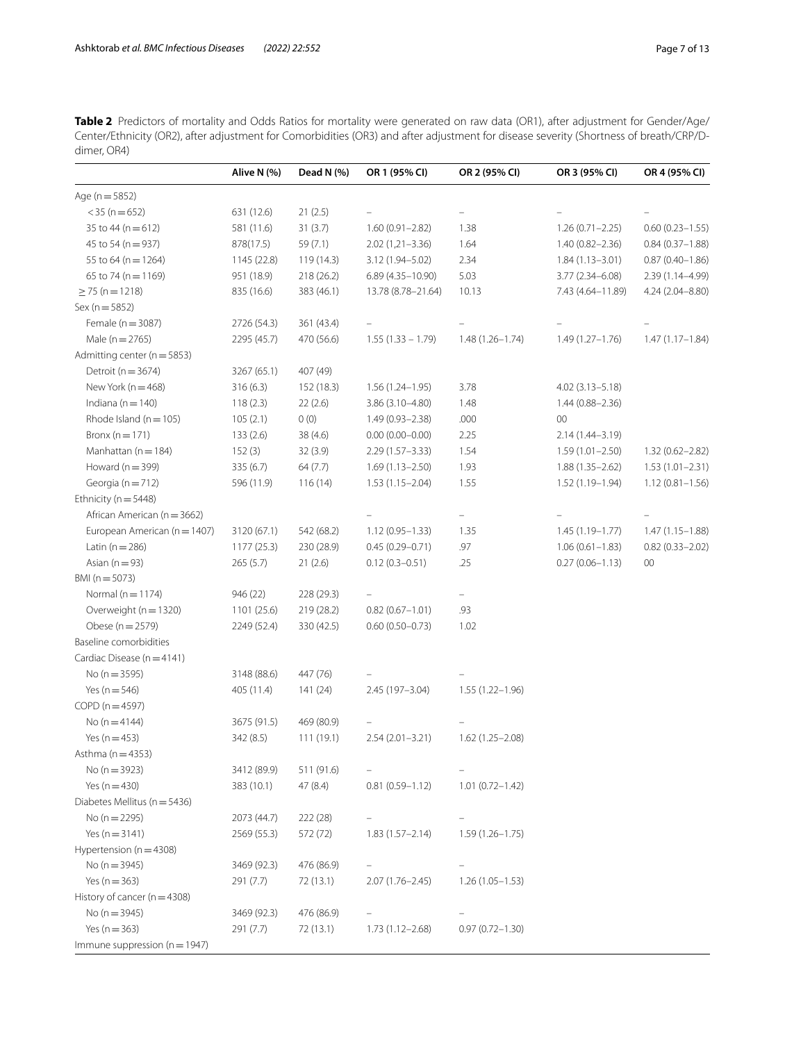<span id="page-6-0"></span>**Table 2** Predictors of mortality and Odds Ratios for mortality were generated on raw data (OR1), after adjustment for Gender/Age/ Center/Ethnicity (OR2), after adjustment for Comorbidities (OR3) and after adjustment for disease severity (Shortness of breath/CRP/Ddimer, OR4)

|                                   | Alive N (%) | Dead N (%) | OR 1 (95% CI)       | OR 2 (95% CI)       | OR 3 (95% CI)       | OR 4 (95% CI)       |
|-----------------------------------|-------------|------------|---------------------|---------------------|---------------------|---------------------|
| Age ( $n = 5852$ )                |             |            |                     |                     |                     |                     |
| $<$ 35 (n = 652)                  | 631 (12.6)  | 21(2.5)    |                     |                     |                     |                     |
| 35 to 44 ( $n = 612$ )            | 581 (11.6)  | 31(3.7)    | $1.60(0.91 - 2.82)$ | 1.38                | $1.26(0.71 - 2.25)$ | $0.60(0.23 - 1.55)$ |
| 45 to 54 (n = 937)                | 878(17.5)   | 59 (7.1)   | $2.02(1,21-3.36)$   | 1.64                | $1.40(0.82 - 2.36)$ | $0.84(0.37 - 1.88)$ |
| 55 to 64 (n = 1264)               | 1145 (22.8) | 119 (14.3) | 3.12 (1.94-5.02)    | 2.34                | $1.84(1.13 - 3.01)$ | $0.87(0.40 - 1.86)$ |
| 65 to 74 (n = 1169)               | 951 (18.9)  | 218 (26.2) | 6.89 (4.35-10.90)   | 5.03                | $3.77(2.34 - 6.08)$ | 2.39 (1.14-4.99)    |
| $\geq$ 75 (n = 1218)              | 835 (16.6)  | 383 (46.1) | 13.78 (8.78-21.64)  | 10.13               | 7.43 (4.64-11.89)   | 4.24 (2.04-8.80)    |
| $Sex (n = 5852)$                  |             |            |                     |                     |                     |                     |
| Female (n = 3087)                 | 2726 (54.3) | 361 (43.4) |                     |                     |                     |                     |
| Male ( $n = 2765$ )               | 2295 (45.7) | 470 (56.6) | $1.55(1.33 - 1.79)$ | $1.48(1.26 - 1.74)$ | $1.49(1.27 - 1.76)$ | $1.47(1.17 - 1.84)$ |
| Admitting center (n = 5853)       |             |            |                     |                     |                     |                     |
| Detroit ( $n = 3674$ )            | 3267 (65.1) | 407 (49)   |                     |                     |                     |                     |
| New York ( $n = 468$ )            | 316(6.3)    | 152 (18.3) | $1.56(1.24 - 1.95)$ | 3.78                | $4.02(3.13 - 5.18)$ |                     |
| Indiana ( $n = 140$ )             | 118(2.3)    | 22(2.6)    | $3.86(3.10-4.80)$   | 1.48                | $1.44(0.88 - 2.36)$ |                     |
| Rhode Island ( $n = 105$ )        | 105(2.1)    | 0(0)       | $1.49(0.93 - 2.38)$ | .000                | $00\,$              |                     |
| Bronx ( $n = 171$ )               | 133(2.6)    | 38 (4.6)   | $0.00(0.00 - 0.00)$ | 2.25                | 2.14 (1.44-3.19)    |                     |
| Manhattan ( $n = 184$ )           | 152(3)      | 32(3.9)    | $2.29(1.57 - 3.33)$ | 1.54                | $1.59(1.01 - 2.50)$ | $1.32(0.62 - 2.82)$ |
| Howard ( $n = 399$ )              | 335 (6.7)   | 64(7.7)    | $1.69(1.13 - 2.50)$ | 1.93                | $1.88(1.35 - 2.62)$ | $1.53(1.01 - 2.31)$ |
| Georgia ( $n = 712$ )             | 596 (11.9)  | 116(14)    | $1.53(1.15 - 2.04)$ | 1.55                | $1.52(1.19 - 1.94)$ | $1.12(0.81 - 1.56)$ |
| Ethnicity ( $n = 5448$ )          |             |            |                     |                     |                     |                     |
| African American (n = 3662)       |             |            |                     |                     |                     |                     |
| European American (n = 1407)      | 3120 (67.1) | 542 (68.2) | $1.12(0.95 - 1.33)$ | 1.35                | $1.45(1.19-1.77)$   | $1.47(1.15 - 1.88)$ |
| Latin ( $n = 286$ )               | 1177(25.3)  | 230 (28.9) | $0.45(0.29 - 0.71)$ | .97                 | $1.06(0.61 - 1.83)$ | $0.82(0.33 - 2.02)$ |
| Asian ( $n = 93$ )                | 265(5.7)    | 21(2.6)    | $0.12(0.3 - 0.51)$  | .25                 | $0.27(0.06 - 1.13)$ | 00                  |
| BMI (n = 5073)                    |             |            |                     |                     |                     |                     |
| Normal ( $n = 1174$ )             | 946 (22)    | 228 (29.3) |                     |                     |                     |                     |
| Overweight (n = 1320)             | 1101 (25.6) | 219 (28.2) | $0.82(0.67 - 1.01)$ | .93                 |                     |                     |
| Obese (n = 2579)                  | 2249 (52.4) | 330 (42.5) | $0.60(0.50 - 0.73)$ | 1.02                |                     |                     |
| Baseline comorbidities            |             |            |                     |                     |                     |                     |
| Cardiac Disease (n = 4141)        |             |            |                     |                     |                     |                     |
| No ( $n = 3595$ )                 | 3148 (88.6) | 447 (76)   |                     |                     |                     |                     |
| Yes ( $n = 546$ )                 | 405 (11.4)  | 141 (24)   | 2.45 (197-3.04)     | $1.55(1.22 - 1.96)$ |                     |                     |
| $COPD(n=4597)$                    |             |            |                     |                     |                     |                     |
| No ( $n = 4144$ )                 | 3675 (91.5) | 469 (80.9) |                     |                     |                     |                     |
| Yes ( $n = 453$ )                 | 342 (8.5)   | 111(19.1)  | $2.54(2.01 - 3.21)$ | $1.62(1.25 - 2.08)$ |                     |                     |
| Asthma ( $n = 4353$ )             |             |            |                     |                     |                     |                     |
| No ( $n = 3923$ )                 | 3412 (89.9) | 511 (91.6) |                     |                     |                     |                     |
| Yes $(n = 430)$                   | 383 (10.1)  | 47 (8.4)   | $0.81(0.59 - 1.12)$ | $1.01(0.72 - 1.42)$ |                     |                     |
| Diabetes Mellitus (n = 5436)      |             |            |                     |                     |                     |                     |
| No ( $n = 2295$ )                 | 2073 (44.7) | 222 (28)   |                     |                     |                     |                     |
| Yes ( $n = 3141$ )                | 2569 (55.3) | 572 (72)   | $1.83(1.57 - 2.14)$ | $1.59(1.26 - 1.75)$ |                     |                     |
| Hypertension $(n = 4308)$         |             |            |                     |                     |                     |                     |
| No ( $n = 3945$ )                 | 3469 (92.3) | 476 (86.9) |                     |                     |                     |                     |
| Yes ( $n = 363$ )                 | 291 (7.7)   | 72 (13.1)  | $2.07(1.76 - 2.45)$ | $1.26(1.05 - 1.53)$ |                     |                     |
| History of cancer ( $n = 4308$ )  |             |            |                     |                     |                     |                     |
| No ( $n = 3945$ )                 | 3469 (92.3) | 476 (86.9) |                     |                     |                     |                     |
| Yes ( $n = 363$ )                 | 291 (7.7)   | 72 (13.1)  | $1.73(1.12 - 2.68)$ | $0.97(0.72 - 1.30)$ |                     |                     |
| Immune suppression ( $n = 1947$ ) |             |            |                     |                     |                     |                     |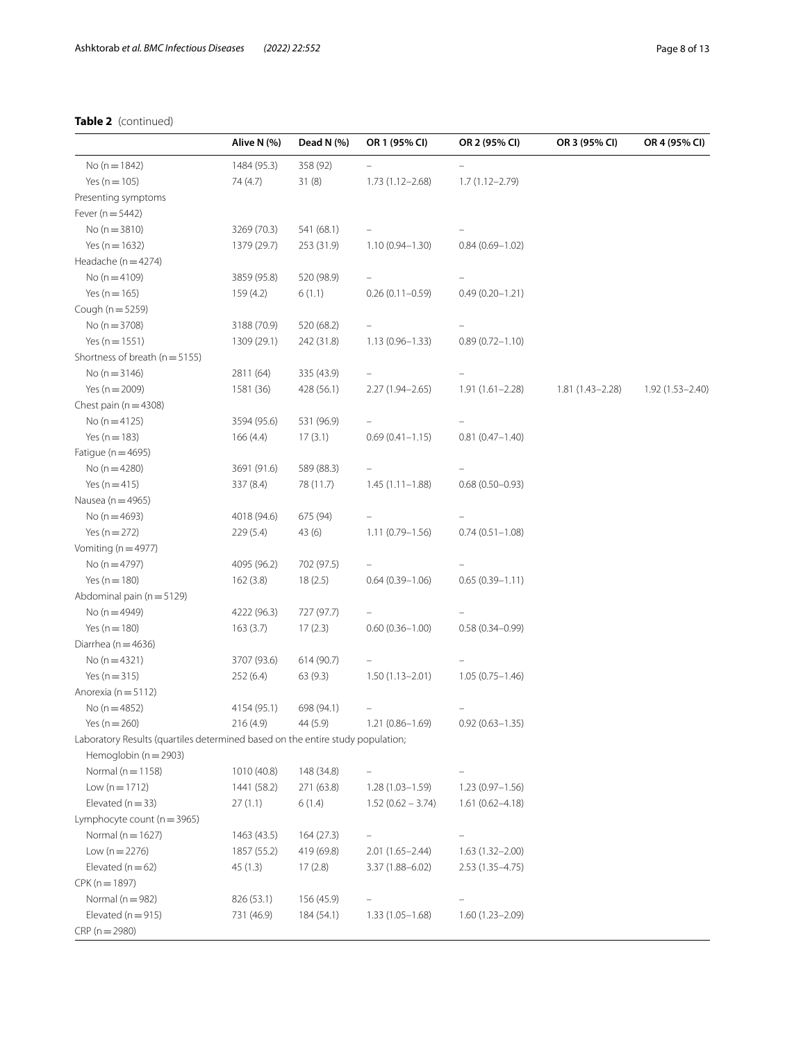# **Table 2** (continued)

|                                                                                | Alive N (%) | Dead N (%) | OR 1 (95% CI)       | OR 2 (95% CI)       | OR 3 (95% CI)       | OR 4 (95% CI)    |
|--------------------------------------------------------------------------------|-------------|------------|---------------------|---------------------|---------------------|------------------|
| No ( $n = 1842$ )                                                              | 1484 (95.3) | 358 (92)   |                     |                     |                     |                  |
| Yes ( $n = 105$ )                                                              | 74 (4.7)    | 31(8)      | $1.73(1.12 - 2.68)$ | $1.7(1.12 - 2.79)$  |                     |                  |
| Presenting symptoms                                                            |             |            |                     |                     |                     |                  |
| Fever ( $n = 5442$ )                                                           |             |            |                     |                     |                     |                  |
| No $(n = 3810)$                                                                | 3269 (70.3) | 541 (68.1) |                     |                     |                     |                  |
| Yes ( $n = 1632$ )                                                             | 1379 (29.7) | 253 (31.9) | $1.10(0.94 - 1.30)$ | $0.84(0.69 - 1.02)$ |                     |                  |
| Headache ( $n = 4274$ )                                                        |             |            |                     |                     |                     |                  |
| No ( $n = 4109$ )                                                              | 3859 (95.8) | 520 (98.9) |                     |                     |                     |                  |
| Yes ( $n = 165$ )                                                              | 159 (4.2)   | 6(1.1)     | $0.26(0.11-0.59)$   | $0.49(0.20 - 1.21)$ |                     |                  |
| Cough (n = 5259)                                                               |             |            |                     |                     |                     |                  |
| No ( $n = 3708$ )                                                              | 3188 (70.9) | 520 (68.2) |                     |                     |                     |                  |
| Yes ( $n = 1551$ )                                                             | 1309 (29.1) | 242 (31.8) | $1.13(0.96 - 1.33)$ | $0.89(0.72 - 1.10)$ |                     |                  |
| Shortness of breath ( $n = 5155$ )                                             |             |            |                     |                     |                     |                  |
| No $(n = 3146)$                                                                | 2811 (64)   | 335 (43.9) |                     |                     |                     |                  |
| Yes ( $n = 2009$ )                                                             | 1581 (36)   | 428 (56.1) | $2.27(1.94 - 2.65)$ | $1.91(1.61 - 2.28)$ | $1.81(1.43 - 2.28)$ | 1.92 (1.53-2.40) |
| Chest pain ( $n = 4308$ )                                                      |             |            |                     |                     |                     |                  |
| No $(n = 4125)$                                                                | 3594 (95.6) | 531 (96.9) |                     |                     |                     |                  |
| Yes ( $n = 183$ )                                                              | 166(4.4)    | 17(3.1)    | $0.69(0.41 - 1.15)$ | $0.81(0.47 - 1.40)$ |                     |                  |
| Fatique ( $n = 4695$ )                                                         |             |            |                     |                     |                     |                  |
| No ( $n = 4280$ )                                                              | 3691 (91.6) | 589 (88.3) |                     |                     |                     |                  |
| Yes $(n = 415)$                                                                | 337 (8.4)   | 78 (11.7)  | $1.45(1.11-1.88)$   | $0.68(0.50 - 0.93)$ |                     |                  |
| Nausea ( $n = 4965$ )                                                          |             |            |                     |                     |                     |                  |
| No ( $n = 4693$ )                                                              | 4018 (94.6) | 675 (94)   |                     |                     |                     |                  |
| Yes ( $n = 272$ )                                                              | 229 (5.4)   | 43 (6)     | $1.11(0.79 - 1.56)$ | $0.74(0.51 - 1.08)$ |                     |                  |
| Vomiting ( $n = 4977$ )                                                        |             |            |                     |                     |                     |                  |
| No ( $n = 4797$ )                                                              | 4095 (96.2) | 702 (97.5) |                     |                     |                     |                  |
| Yes ( $n = 180$ )                                                              | 162(3.8)    | 18(2.5)    | $0.64(0.39 - 1.06)$ | $0.65(0.39 - 1.11)$ |                     |                  |
| Abdominal pain ( $n = 5129$ )                                                  |             |            |                     |                     |                     |                  |
| No ( $n = 4949$ )                                                              | 4222 (96.3) | 727 (97.7) |                     |                     |                     |                  |
| Yes ( $n = 180$ )                                                              | 163(3.7)    | 17(2.3)    | $0.60(0.36 - 1.00)$ | $0.58(0.34 - 0.99)$ |                     |                  |
| Diarrhea ( $n = 4636$ )                                                        |             |            |                     |                     |                     |                  |
| No $(n=4321)$                                                                  | 3707 (93.6) | 614 (90.7) |                     |                     |                     |                  |
| Yes ( $n = 315$ )                                                              | 252(6.4)    | 63(9.3)    | $1.50(1.13 - 2.01)$ | $1.05(0.75 - 1.46)$ |                     |                  |
| Anorexia (n = 5112)                                                            |             |            |                     |                     |                     |                  |
| No ( $n = 4852$ )                                                              | 4154 (95.1) | 698 (94.1) |                     |                     |                     |                  |
| Yes (n $=$ 260)                                                                | 216 (4.9)   | 44 (5.9)   | $1.21(0.86 - 1.69)$ | $0.92(0.63 - 1.35)$ |                     |                  |
| Laboratory Results (quartiles determined based on the entire study population; |             |            |                     |                     |                     |                  |
| Hemoglobin ( $n = 2903$ )                                                      |             |            |                     |                     |                     |                  |
| Normal ( $n = 1158$ )                                                          | 1010 (40.8) | 148 (34.8) |                     |                     |                     |                  |
| Low $(n = 1712)$                                                               | 1441 (58.2) | 271 (63.8) | $1.28(1.03 - 1.59)$ | $1.23(0.97 - 1.56)$ |                     |                  |
| Elevated ( $n = 33$ )                                                          | 27(1.1)     | 6(1.4)     | $1.52(0.62 - 3.74)$ | $1.61(0.62 - 4.18)$ |                     |                  |
| Lymphocyte count ( $n = 3965$ )                                                |             |            |                     |                     |                     |                  |
| Normal ( $n = 1627$ )                                                          | 1463 (43.5) | 164 (27.3) |                     |                     |                     |                  |
| Low $(n = 2276)$                                                               | 1857 (55.2) | 419 (69.8) | $2.01(1.65 - 2.44)$ | $1.63(1.32 - 2.00)$ |                     |                  |
| Elevated ( $n = 62$ )                                                          | 45 (1.3)    | 17(2.8)    | $3.37(1.88 - 6.02)$ | $2.53(1.35 - 4.75)$ |                     |                  |
| $CPK(n = 1897)$                                                                |             |            |                     |                     |                     |                  |
| Normal ( $n = 982$ )                                                           | 826 (53.1)  | 156 (45.9) |                     |                     |                     |                  |
| Elevated ( $n = 915$ )                                                         | 731 (46.9)  | 184 (54.1) | $1.33(1.05 - 1.68)$ | $1.60(1.23 - 2.09)$ |                     |                  |
| $CRP(n = 2980)$                                                                |             |            |                     |                     |                     |                  |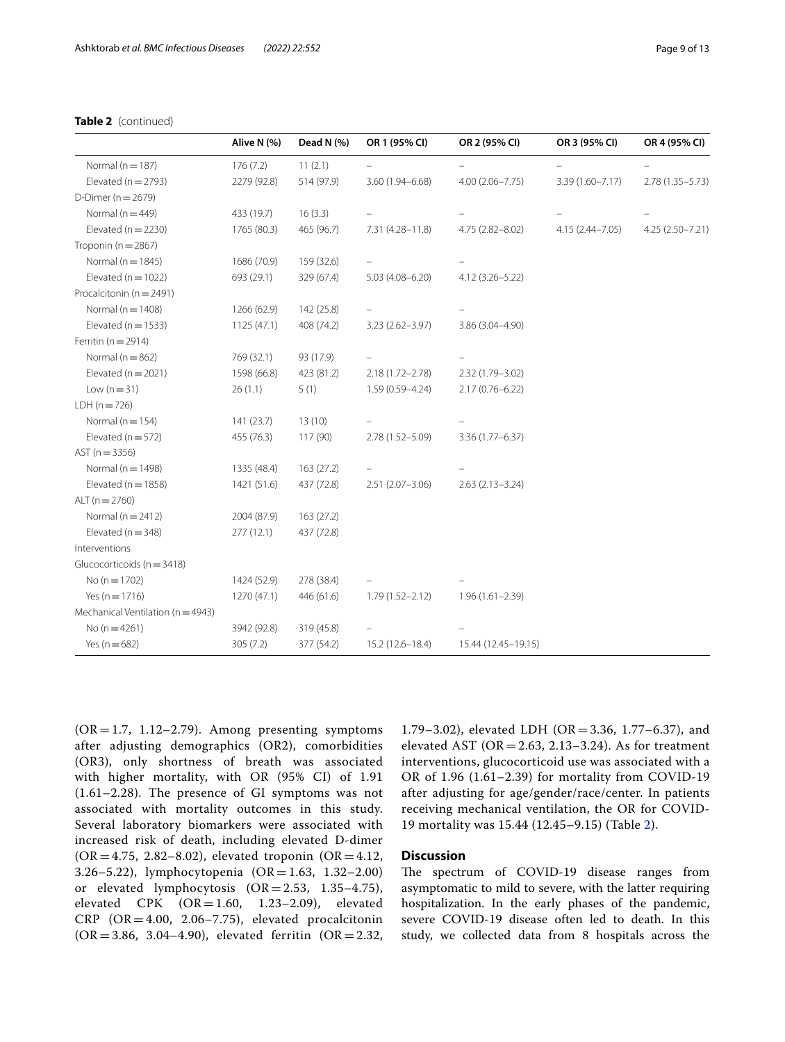# **Table 2** (continued)

|                                       | Alive N (%) | Dead N (%) | OR 1 (95% CI)       | OR 2 (95% CI)       | OR 3 (95% CI)       | OR 4 (95% CI)      |
|---------------------------------------|-------------|------------|---------------------|---------------------|---------------------|--------------------|
| Normal ( $n = 187$ )                  | 176(7.2)    | 11(2.1)    |                     |                     |                     |                    |
| Elevated ( $n = 2793$ )               | 2279 (92.8) | 514 (97.9) | 3.60 (1.94-6.68)    | $4.00(2.06 - 7.75)$ | 3.39 (1.60-7.17)    | 2.78 (1.35 - 5.73) |
| D-Dimer ( $n = 2679$ )                |             |            |                     |                     |                     |                    |
| Normal ( $n = 449$ )                  | 433 (19.7)  | 16(3.3)    |                     |                     |                     |                    |
| Elevated ( $n = 2230$ )               | 1765 (80.3) | 465 (96.7) | 7.31 (4.28-11.8)    | 4.75 (2.82-8.02)    | $4.15(2.44 - 7.05)$ | 4.25 (2.50-7.21)   |
| Troponin ( $n = 2867$ )               |             |            |                     |                     |                     |                    |
| Normal ( $n = 1845$ )                 | 1686 (70.9) | 159 (32.6) |                     |                     |                     |                    |
| Elevated ( $n = 1022$ )               | 693 (29.1)  | 329 (67.4) | $5.03(4.08 - 6.20)$ | $4.12(3.26 - 5.22)$ |                     |                    |
| Procalcitonin (n = 2491)              |             |            |                     |                     |                     |                    |
| Normal ( $n = 1408$ )                 | 1266 (62.9) | 142 (25.8) |                     |                     |                     |                    |
| Elevated ( $n = 1533$ )               | 1125(47.1)  | 408 (74.2) | $3.23(2.62 - 3.97)$ | 3.86 (3.04-4.90)    |                     |                    |
| Ferritin ( $n = 2914$ )               |             |            |                     |                     |                     |                    |
| Normal ( $n = 862$ )                  | 769 (32.1)  | 93 (17.9)  |                     |                     |                     |                    |
| Elevated ( $n = 2021$ )               | 1598 (66.8) | 423 (81.2) | $2.18(1.72 - 2.78)$ | 2.32 (1.79-3.02)    |                     |                    |
| Low $(n=31)$                          | 26(1.1)     | 5(1)       | $1.59(0.59 - 4.24)$ | $2.17(0.76 - 6.22)$ |                     |                    |
| $LDH (n = 726)$                       |             |            |                     |                     |                     |                    |
| Normal ( $n = 154$ )                  | 141 (23.7)  | 13(10)     |                     |                     |                     |                    |
| Elevated ( $n = 572$ )                | 455 (76.3)  | 117 (90)   | 2.78 (1.52-5.09)    | 3.36 (1.77 - 6.37)  |                     |                    |
| $AST (n = 3356)$                      |             |            |                     |                     |                     |                    |
| Normal ( $n = 1498$ )                 | 1335 (48.4) | 163 (27.2) |                     |                     |                     |                    |
| Elevated ( $n = 1858$ )               | 1421 (51.6) | 437 (72.8) | 2.51 (2.07-3.06)    | $2.63(2.13 - 3.24)$ |                     |                    |
| ALT $(n = 2760)$                      |             |            |                     |                     |                     |                    |
| Normal ( $n = 2412$ )                 | 2004 (87.9) | 163 (27.2) |                     |                     |                     |                    |
| Elevated ( $n = 348$ )                | 277(12.1)   | 437 (72.8) |                     |                     |                     |                    |
| Interventions                         |             |            |                     |                     |                     |                    |
| Glucocorticoids ( $n = 3418$ )        |             |            |                     |                     |                     |                    |
| No ( $n = 1702$ )                     | 1424 (52.9) | 278 (38.4) |                     |                     |                     |                    |
| Yes ( $n = 1716$ )                    | 1270 (47.1) | 446 (61.6) | $1.79(1.52 - 2.12)$ | $1.96(1.61 - 2.39)$ |                     |                    |
| Mechanical Ventilation ( $n = 4943$ ) |             |            |                     |                     |                     |                    |
| No $(n=4261)$                         | 3942 (92.8) | 319 (45.8) |                     |                     |                     |                    |
| Yes ( $n = 682$ )                     | 305(7.2)    | 377 (54.2) | $15.2(12.6 - 18.4)$ | 15.44 (12.45-19.15) |                     |                    |

 $(OR = 1.7, 1.12-2.79)$ . Among presenting symptoms after adjusting demographics (OR2), comorbidities (OR3), only shortness of breath was associated with higher mortality, with OR (95% CI) of 1.91 (1.61–2.28). The presence of GI symptoms was not associated with mortality outcomes in this study. Several laboratory biomarkers were associated with increased risk of death, including elevated D-dimer  $(OR = 4.75, 2.82 - 8.02)$ , elevated troponin  $(OR = 4.12, 1.5)$ 3.26–5.22), lymphocytopenia  $(OR = 1.63, 1.32-2.00)$ or elevated lymphocytosis  $(OR = 2.53, 1.35-4.75)$ , elevated  $CPK$   $(OR = 1.60, 1.23-2.09)$ , elevated CRP  $(OR = 4.00, 2.06 - 7.75)$ , elevated procalcitonin  $(OR = 3.86, 3.04 - 4.90)$ , elevated ferritin  $(OR = 2.32, 1.04)$ 

1.79–3.02), elevated LDH (OR = 3.36, 1.77–6.37), and elevated AST ( $OR = 2.63$ , 2.13–3.24). As for treatment interventions, glucocorticoid use was associated with a OR of 1.96 (1.61–2.39) for mortality from COVID-19 after adjusting for age/gender/race/center. In patients receiving mechanical ventilation, the OR for COVID-19 mortality was 15.44 (12.45–9.15) (Table [2\)](#page-6-0).

# **Discussion**

The spectrum of COVID-19 disease ranges from asymptomatic to mild to severe, with the latter requiring hospitalization. In the early phases of the pandemic, severe COVID-19 disease often led to death. In this study, we collected data from 8 hospitals across the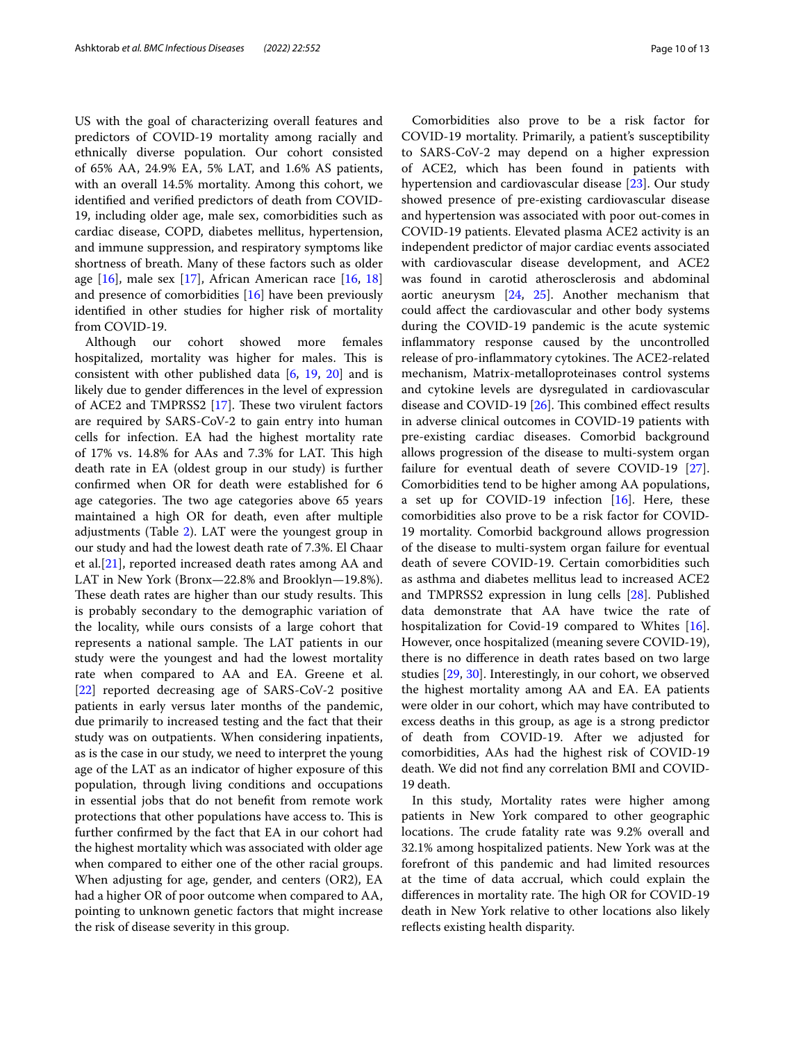US with the goal of characterizing overall features and predictors of COVID-19 mortality among racially and ethnically diverse population. Our cohort consisted of 65% AA, 24.9% EA, 5% LAT, and 1.6% AS patients, with an overall 14.5% mortality. Among this cohort, we identifed and verifed predictors of death from COVID-19, including older age, male sex, comorbidities such as cardiac disease, COPD, diabetes mellitus, hypertension, and immune suppression, and respiratory symptoms like shortness of breath. Many of these factors such as older age  $[16]$  $[16]$ , male sex  $[17]$  $[17]$ , African American race  $[16, 18]$  $[16, 18]$  $[16, 18]$  $[16, 18]$  $[16, 18]$ and presence of comorbidities [[16\]](#page-11-14) have been previously identifed in other studies for higher risk of mortality from COVID-19.

Although our cohort showed more females hospitalized, mortality was higher for males. This is consistent with other published data [[6,](#page-11-8) [19](#page-11-17), [20](#page-11-18)] and is likely due to gender diferences in the level of expression of ACE2 and TMPRSS2  $[17]$  $[17]$ . These two virulent factors are required by SARS-CoV-2 to gain entry into human cells for infection. EA had the highest mortality rate of 17% vs. 14.8% for AAs and 7.3% for LAT. Tis high death rate in EA (oldest group in our study) is further confrmed when OR for death were established for 6 age categories. The two age categories above 65 years maintained a high OR for death, even after multiple adjustments (Table [2](#page-6-0)). LAT were the youngest group in our study and had the lowest death rate of 7.3%. El Chaar et al.[[21\]](#page-11-19), reported increased death rates among AA and LAT in New York (Bronx—22.8% and Brooklyn—19.8%). These death rates are higher than our study results. This is probably secondary to the demographic variation of the locality, while ours consists of a large cohort that represents a national sample. The LAT patients in our study were the youngest and had the lowest mortality rate when compared to AA and EA. Greene et al. [[22\]](#page-11-20) reported decreasing age of SARS-CoV-2 positive patients in early versus later months of the pandemic, due primarily to increased testing and the fact that their study was on outpatients. When considering inpatients, as is the case in our study, we need to interpret the young age of the LAT as an indicator of higher exposure of this population, through living conditions and occupations in essential jobs that do not beneft from remote work protections that other populations have access to. This is further confrmed by the fact that EA in our cohort had the highest mortality which was associated with older age when compared to either one of the other racial groups. When adjusting for age, gender, and centers (OR2), EA had a higher OR of poor outcome when compared to AA, pointing to unknown genetic factors that might increase the risk of disease severity in this group.

Comorbidities also prove to be a risk factor for COVID-19 mortality. Primarily, a patient's susceptibility to SARS-CoV-2 may depend on a higher expression of ACE2, which has been found in patients with hypertension and cardiovascular disease [\[23\]](#page-11-21). Our study showed presence of pre-existing cardiovascular disease and hypertension was associated with poor out-comes in COVID-19 patients. Elevated plasma ACE2 activity is an independent predictor of major cardiac events associated with cardiovascular disease development, and ACE2 was found in carotid atherosclerosis and abdominal aortic aneurysm [[24,](#page-11-22) [25\]](#page-11-23). Another mechanism that could afect the cardiovascular and other body systems during the COVID-19 pandemic is the acute systemic infammatory response caused by the uncontrolled release of pro-inflammatory cytokines. The ACE2-related mechanism, Matrix-metalloproteinases control systems and cytokine levels are dysregulated in cardiovascular disease and COVID-19 [\[26](#page-11-24)]. This combined effect results in adverse clinical outcomes in COVID-19 patients with pre-existing cardiac diseases. Comorbid background allows progression of the disease to multi-system organ failure for eventual death of severe COVID-19 [\[27](#page-11-25)]. Comorbidities tend to be higher among AA populations, a set up for COVID-19 infection  $[16]$  $[16]$ . Here, these comorbidities also prove to be a risk factor for COVID-19 mortality. Comorbid background allows progression of the disease to multi-system organ failure for eventual death of severe COVID-19. Certain comorbidities such as asthma and diabetes mellitus lead to increased ACE2 and TMPRSS2 expression in lung cells [[28\]](#page-11-26). Published data demonstrate that AA have twice the rate of hospitalization for Covid-19 compared to Whites [\[16](#page-11-14)]. However, once hospitalized (meaning severe COVID-19), there is no diference in death rates based on two large studies [\[29,](#page-11-27) [30\]](#page-11-28). Interestingly, in our cohort, we observed the highest mortality among AA and EA. EA patients were older in our cohort, which may have contributed to excess deaths in this group, as age is a strong predictor of death from COVID-19. After we adjusted for comorbidities, AAs had the highest risk of COVID-19 death. We did not fnd any correlation BMI and COVID-19 death.

In this study, Mortality rates were higher among patients in New York compared to other geographic locations. The crude fatality rate was 9.2% overall and 32.1% among hospitalized patients. New York was at the forefront of this pandemic and had limited resources at the time of data accrual, which could explain the differences in mortality rate. The high OR for COVID-19 death in New York relative to other locations also likely reflects existing health disparity.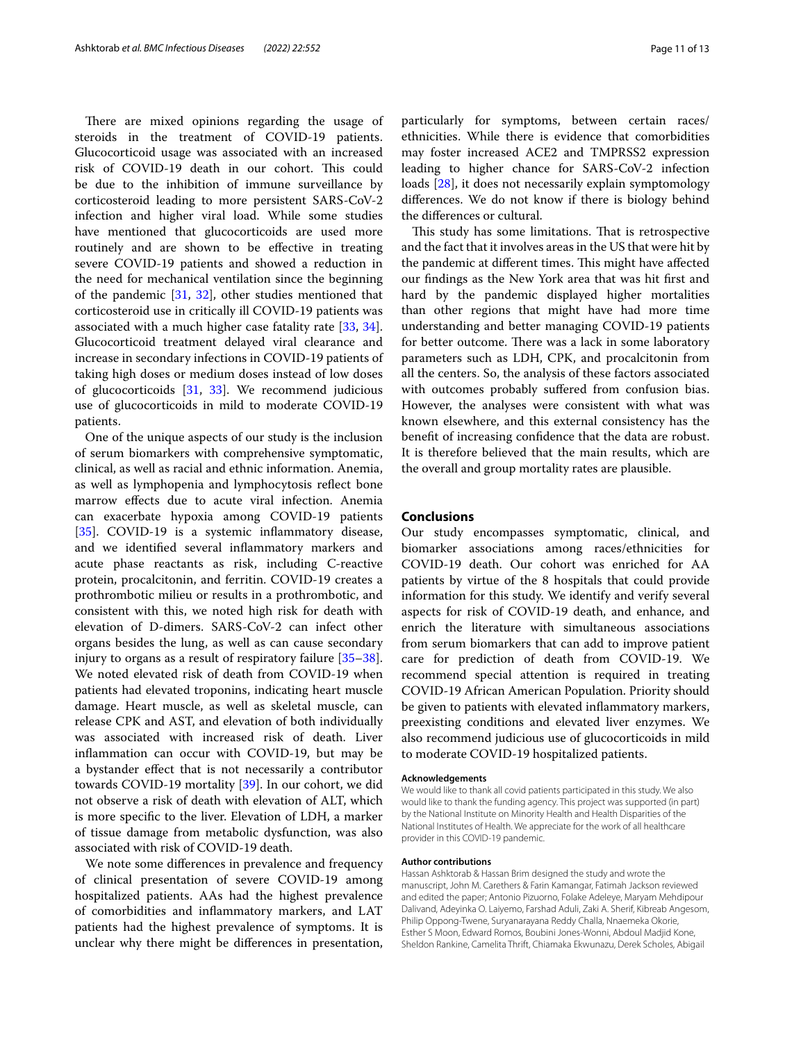There are mixed opinions regarding the usage of steroids in the treatment of COVID-19 patients. Glucocorticoid usage was associated with an increased risk of COVID-19 death in our cohort. This could be due to the inhibition of immune surveillance by corticosteroid leading to more persistent SARS-CoV-2 infection and higher viral load. While some studies have mentioned that glucocorticoids are used more routinely and are shown to be efective in treating severe COVID-19 patients and showed a reduction in the need for mechanical ventilation since the beginning of the pandemic  $[31, 32]$  $[31, 32]$  $[31, 32]$  $[31, 32]$ , other studies mentioned that corticosteroid use in critically ill COVID-19 patients was associated with a much higher case fatality rate [\[33,](#page-12-0) [34](#page-12-1)]. Glucocorticoid treatment delayed viral clearance and increase in secondary infections in COVID-19 patients of taking high doses or medium doses instead of low doses of glucocorticoids [\[31](#page-11-29), [33\]](#page-12-0). We recommend judicious use of glucocorticoids in mild to moderate COVID-19 patients.

One of the unique aspects of our study is the inclusion of serum biomarkers with comprehensive symptomatic, clinical, as well as racial and ethnic information. Anemia, as well as lymphopenia and lymphocytosis refect bone marrow efects due to acute viral infection. Anemia can exacerbate hypoxia among COVID-19 patients [[35\]](#page-12-2). COVID-19 is a systemic inflammatory disease, and we identifed several infammatory markers and acute phase reactants as risk, including C-reactive protein, procalcitonin, and ferritin. COVID-19 creates a prothrombotic milieu or results in a prothrombotic, and consistent with this, we noted high risk for death with elevation of D-dimers. SARS-CoV-2 can infect other organs besides the lung, as well as can cause secondary injury to organs as a result of respiratory failure [[35](#page-12-2)[–38](#page-12-3)]. We noted elevated risk of death from COVID-19 when patients had elevated troponins, indicating heart muscle damage. Heart muscle, as well as skeletal muscle, can release CPK and AST, and elevation of both individually was associated with increased risk of death. Liver infammation can occur with COVID-19, but may be a bystander efect that is not necessarily a contributor towards COVID-19 mortality [\[39](#page-12-4)]. In our cohort, we did not observe a risk of death with elevation of ALT, which is more specifc to the liver. Elevation of LDH, a marker of tissue damage from metabolic dysfunction, was also associated with risk of COVID-19 death.

We note some diferences in prevalence and frequency of clinical presentation of severe COVID-19 among hospitalized patients. AAs had the highest prevalence of comorbidities and infammatory markers, and LAT patients had the highest prevalence of symptoms. It is unclear why there might be diferences in presentation,

particularly for symptoms, between certain races/ ethnicities. While there is evidence that comorbidities may foster increased ACE2 and TMPRSS2 expression leading to higher chance for SARS-CoV-2 infection loads [\[28](#page-11-26)], it does not necessarily explain symptomology diferences. We do not know if there is biology behind the diferences or cultural.

This study has some limitations. That is retrospective and the fact that it involves areas in the US that were hit by the pandemic at different times. This might have affected our fndings as the New York area that was hit frst and hard by the pandemic displayed higher mortalities than other regions that might have had more time understanding and better managing COVID-19 patients for better outcome. There was a lack in some laboratory parameters such as LDH, CPK, and procalcitonin from all the centers. So, the analysis of these factors associated with outcomes probably sufered from confusion bias. However, the analyses were consistent with what was known elsewhere, and this external consistency has the beneft of increasing confdence that the data are robust. It is therefore believed that the main results, which are the overall and group mortality rates are plausible.

# **Conclusions**

Our study encompasses symptomatic, clinical, and biomarker associations among races/ethnicities for COVID-19 death. Our cohort was enriched for AA patients by virtue of the 8 hospitals that could provide information for this study. We identify and verify several aspects for risk of COVID-19 death, and enhance, and enrich the literature with simultaneous associations from serum biomarkers that can add to improve patient care for prediction of death from COVID-19. We recommend special attention is required in treating COVID-19 African American Population. Priority should be given to patients with elevated infammatory markers, preexisting conditions and elevated liver enzymes. We also recommend judicious use of glucocorticoids in mild to moderate COVID-19 hospitalized patients.

#### **Acknowledgements**

We would like to thank all covid patients participated in this study. We also would like to thank the funding agency. This project was supported (in part) by the National Institute on Minority Health and Health Disparities of the National Institutes of Health. We appreciate for the work of all healthcare provider in this COVID-19 pandemic.

#### **Author contributions**

Hassan Ashktorab & Hassan Brim designed the study and wrote the manuscript, John M. Carethers & Farin Kamangar, Fatimah Jackson reviewed and edited the paper; Antonio Pizuorno, Folake Adeleye, Maryam Mehdipour Dalivand, Adeyinka O. Laiyemo, Farshad Aduli, Zaki A. Sherif, Kibreab Angesom, Philip Oppong-Twene, Suryanarayana Reddy Challa, Nnaemeka Okorie, Esther S Moon, Edward Romos, Boubini Jones-Wonni, Abdoul Madjid Kone, Sheldon Rankine, Camelita Thrift, Chiamaka Ekwunazu, Derek Scholes, Abigail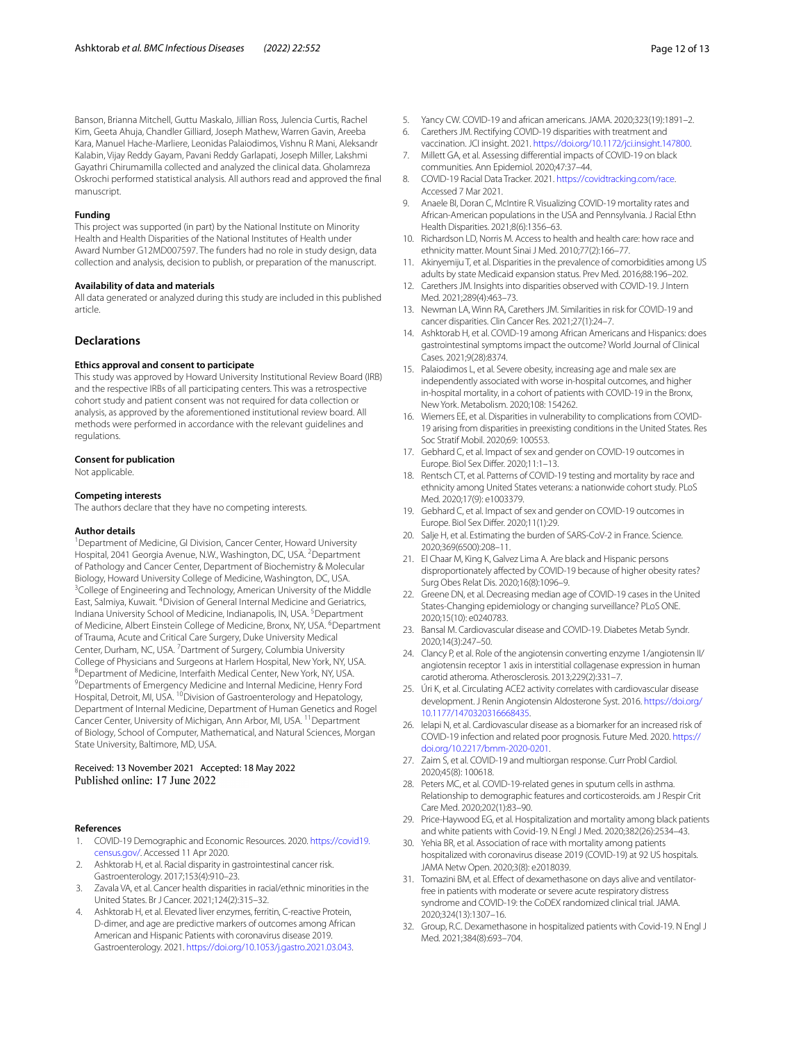Banson, Brianna Mitchell, Guttu Maskalo, Jillian Ross, Julencia Curtis, Rachel Kim, Geeta Ahuja, Chandler Gilliard, Joseph Mathew, Warren Gavin, Areeba Kara, Manuel Hache-Marliere, Leonidas Palaiodimos, Vishnu R Mani, Aleksandr Kalabin, Vijay Reddy Gayam, Pavani Reddy Garlapati, Joseph Miller, Lakshmi Gayathri Chirumamilla collected and analyzed the clinical data. Gholamreza Oskrochi performed statistical analysis. All authors read and approved the fnal manuscript.

#### **Funding**

This project was supported (in part) by the National Institute on Minority Health and Health Disparities of the National Institutes of Health under Award Number G12MD007597. The funders had no role in study design, data collection and analysis, decision to publish, or preparation of the manuscript.

#### **Availability of data and materials**

All data generated or analyzed during this study are included in this published article.

## **Declarations**

#### **Ethics approval and consent to participate**

This study was approved by Howard University Institutional Review Board (IRB) and the respective IRBs of all participating centers. This was a retrospective cohort study and patient consent was not required for data collection or analysis, as approved by the aforementioned institutional review board. All methods were performed in accordance with the relevant guidelines and regulations.

#### **Consent for publication**

Not applicable.

#### **Competing interests**

The authors declare that they have no competing interests.

#### **Author details**

<sup>1</sup> Department of Medicine, GI Division, Cancer Center, Howard University Hospital, 2041 Georgia Avenue, N.W., Washington, DC, USA. <sup>2</sup>Department of Pathology and Cancer Center, Department of Biochemistry & Molecular Biology, Howard University College of Medicine, Washington, DC, USA. 3 <sup>3</sup>College of Engineering and Technology, American University of the Middle East, Salmiya, Kuwait. <sup>4</sup> Division of General Internal Medicine and Geriatrics, Indiana University School of Medicine, Indianapolis, IN, USA. <sup>5</sup> Department of Medicine, Albert Einstein College of Medicine, Bronx, NY, USA. <sup>6</sup>Department of Trauma, Acute and Critical Care Surgery, Duke University Medical Center, Durham, NC, USA.<sup>7</sup> Dartment of Surgery, Columbia University College of Physicians and Surgeons at Harlem Hospital, New York, NY, USA. <sup>8</sup>Department of Medicine, Interfaith Medical Center, New York, NY, USA. Departments of Emergency Medicine and Internal Medicine, Henry Ford Hospital, Detroit, MI, USA. <sup>10</sup>Division of Gastroenterology and Hepatology, Department of Internal Medicine, Department of Human Genetics and Rogel Cancer Center, University of Michigan, Ann Arbor, MI, USA. <sup>11</sup> Department of Biology, School of Computer, Mathematical, and Natural Sciences, Morgan State University, Baltimore, MD, USA.

## Received: 13 November 2021 Accepted: 18 May 2022 Published online: 17 June 2022

#### **References**

- <span id="page-11-0"></span>1. COVID-19 Demographic and Economic Resources. 2020. [https://covid19.](https://covid19.census.gov/) [census.gov/](https://covid19.census.gov/). Accessed 11 Apr 2020.
- <span id="page-11-1"></span>2. Ashktorab H, et al. Racial disparity in gastrointestinal cancer risk. Gastroenterology. 2017;153(4):910–23.
- 3. Zavala VA, et al. Cancer health disparities in racial/ethnic minorities in the United States. Br J Cancer. 2021;124(2):315–32.
- <span id="page-11-2"></span>4. Ashktorab H, et al. Elevated liver enzymes, ferritin, C-reactive Protein, D-dimer, and age are predictive markers of outcomes among African American and Hispanic Patients with coronavirus disease 2019. Gastroenterology. 2021. [https://doi.org/10.1053/j.gastro.2021.03.043.](https://doi.org/10.1053/j.gastro.2021.03.043)
- <span id="page-11-3"></span>5. Yancy CW. COVID-19 and african americans. JAMA. 2020;323(19):1891–2.
- <span id="page-11-8"></span>6. Carethers JM. Rectifying COVID-19 disparities with treatment and vaccination. JCI insight. 2021. [https://doi.org/10.1172/jci.insight.147800.](https://doi.org/10.1172/jci.insight.147800)
- <span id="page-11-4"></span>7. Millett GA, et al. Assessing diferential impacts of COVID-19 on black communities. Ann Epidemiol. 2020;47:37–44.
- <span id="page-11-5"></span>8. COVID-19 Racial Data Tracker. 2021. [https://covidtracking.com/race.](https://covidtracking.com/race) Accessed 7 Mar 2021.
- <span id="page-11-6"></span>9. Anaele BI, Doran C, McIntire R. Visualizing COVID-19 mortality rates and African-American populations in the USA and Pennsylvania. J Racial Ethn Health Disparities. 2021;8(6):1356–63.
- <span id="page-11-7"></span>10. Richardson LD, Norris M. Access to health and health care: how race and ethnicity matter. Mount Sinai J Med. 2010;77(2):166–77.
- <span id="page-11-9"></span>11. Akinyemiju T, et al. Disparities in the prevalence of comorbidities among US adults by state Medicaid expansion status. Prev Med. 2016;88:196–202.
- <span id="page-11-10"></span>12. Carethers JM. Insights into disparities observed with COVID-19. J Intern Med. 2021;289(4):463–73.
- <span id="page-11-11"></span>13. Newman LA, Winn RA, Carethers JM. Similarities in risk for COVID-19 and cancer disparities. Clin Cancer Res. 2021;27(1):24–7.
- <span id="page-11-12"></span>14. Ashktorab H, et al. COVID-19 among African Americans and Hispanics: does gastrointestinal symptoms impact the outcome? World Journal of Clinical Cases. 2021;9(28):8374.
- <span id="page-11-13"></span>15. Palaiodimos L, et al. Severe obesity, increasing age and male sex are independently associated with worse in-hospital outcomes, and higher in-hospital mortality, in a cohort of patients with COVID-19 in the Bronx, New York. Metabolism. 2020;108: 154262.
- <span id="page-11-14"></span>16. Wiemers EE, et al. Disparities in vulnerability to complications from COVID-19 arising from disparities in preexisting conditions in the United States. Res Soc Stratif Mobil. 2020;69: 100553.
- <span id="page-11-15"></span>17. Gebhard C, et al. Impact of sex and gender on COVID-19 outcomes in Europe. Biol Sex Difer. 2020;11:1–13.
- <span id="page-11-16"></span>18. Rentsch CT, et al. Patterns of COVID-19 testing and mortality by race and ethnicity among United States veterans: a nationwide cohort study. PLoS Med. 2020;17(9): e1003379.
- <span id="page-11-17"></span>19. Gebhard C, et al. Impact of sex and gender on COVID-19 outcomes in Europe. Biol Sex Difer. 2020;11(1):29.
- <span id="page-11-18"></span>20. Salje H, et al. Estimating the burden of SARS-CoV-2 in France. Science. 2020;369(6500):208–11.
- <span id="page-11-19"></span>21. El Chaar M, King K, Galvez Lima A. Are black and Hispanic persons disproportionately afected by COVID-19 because of higher obesity rates? Surg Obes Relat Dis. 2020;16(8):1096–9.
- <span id="page-11-20"></span>22. Greene DN, et al. Decreasing median age of COVID-19 cases in the United States-Changing epidemiology or changing surveillance? PLoS ONE. 2020;15(10): e0240783.
- <span id="page-11-21"></span>23. Bansal M. Cardiovascular disease and COVID-19. Diabetes Metab Syndr. 2020;14(3):247–50.
- <span id="page-11-22"></span>24. Clancy P, et al. Role of the angiotensin converting enzyme 1/angiotensin II/ angiotensin receptor 1 axis in interstitial collagenase expression in human carotid atheroma. Atherosclerosis. 2013;229(2):331–7.
- <span id="page-11-23"></span>25. Úri K, et al. Circulating ACE2 activity correlates with cardiovascular disease development. J Renin Angiotensin Aldosterone Syst. 2016. [https://doi.org/](https://doi.org/10.1177/1470320316668435) [10.1177/1470320316668435.](https://doi.org/10.1177/1470320316668435)
- <span id="page-11-24"></span>26. Ielapi N, et al. Cardiovascular disease as a biomarker for an increased risk of COVID-19 infection and related poor prognosis. Future Med. 2020. [https://](https://doi.org/10.2217/bmm-2020-0201) [doi.org/10.2217/bmm-2020-0201.](https://doi.org/10.2217/bmm-2020-0201)
- <span id="page-11-25"></span>27. Zaim S, et al. COVID-19 and multiorgan response. Curr Probl Cardiol. 2020;45(8): 100618.
- <span id="page-11-26"></span>28. Peters MC, et al. COVID-19-related genes in sputum cells in asthma. Relationship to demographic features and corticosteroids. am J Respir Crit Care Med. 2020;202(1):83–90.
- <span id="page-11-27"></span>29. Price-Haywood EG, et al. Hospitalization and mortality among black patients and white patients with Covid-19. N Engl J Med. 2020;382(26):2534–43.
- <span id="page-11-28"></span>30. Yehia BR, et al. Association of race with mortality among patients hospitalized with coronavirus disease 2019 (COVID-19) at 92 US hospitals. JAMA Netw Open. 2020;3(8): e2018039.
- <span id="page-11-29"></span>31. Tomazini BM, et al. Effect of dexamethasone on days alive and ventilatorfree in patients with moderate or severe acute respiratory distress syndrome and COVID-19: the CoDEX randomized clinical trial. JAMA. 2020;324(13):1307–16.
- <span id="page-11-30"></span>32. Group, R.C. Dexamethasone in hospitalized patients with Covid-19. N Engl J Med. 2021;384(8):693–704.